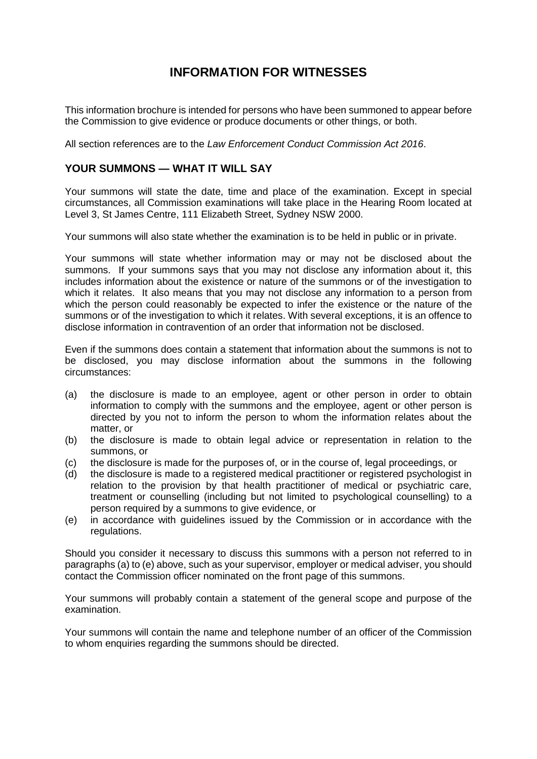# **INFORMATION FOR WITNESSES**

This information brochure is intended for persons who have been summoned to appear before the Commission to give evidence or produce documents or other things, or both.

All section references are to the *Law Enforcement Conduct Commission Act 2016*.

# **YOUR SUMMONS — WHAT IT WILL SAY**

Your summons will state the date, time and place of the examination. Except in special circumstances, all Commission examinations will take place in the Hearing Room located at Level 3, St James Centre, 111 Elizabeth Street, Sydney NSW 2000.

Your summons will also state whether the examination is to be held in public or in private.

Your summons will state whether information may or may not be disclosed about the summons. If your summons says that you may not disclose any information about it, this includes information about the existence or nature of the summons or of the investigation to which it relates. It also means that you may not disclose any information to a person from which the person could reasonably be expected to infer the existence or the nature of the summons or of the investigation to which it relates. With several exceptions, it is an offence to disclose information in contravention of an order that information not be disclosed.

Even if the summons does contain a statement that information about the summons is not to be disclosed, you may disclose information about the summons in the following circumstances:

- (a) the disclosure is made to an employee, agent or other person in order to obtain information to comply with the summons and the employee, agent or other person is directed by you not to inform the person to whom the information relates about the matter, or
- (b) the disclosure is made to obtain legal advice or representation in relation to the summons, or
- (c) the disclosure is made for the purposes of, or in the course of, legal proceedings, or
- (d) the disclosure is made to a registered medical practitioner or registered psychologist in relation to the provision by that health practitioner of medical or psychiatric care, treatment or counselling (including but not limited to psychological counselling) to a person required by a summons to give evidence, or
- (e) in accordance with guidelines issued by the Commission or in accordance with the regulations.

Should you consider it necessary to discuss this summons with a person not referred to in paragraphs (a) to (e) above, such as your supervisor, employer or medical adviser, you should contact the Commission officer nominated on the front page of this summons.

Your summons will probably contain a statement of the general scope and purpose of the examination.

Your summons will contain the name and telephone number of an officer of the Commission to whom enquiries regarding the summons should be directed.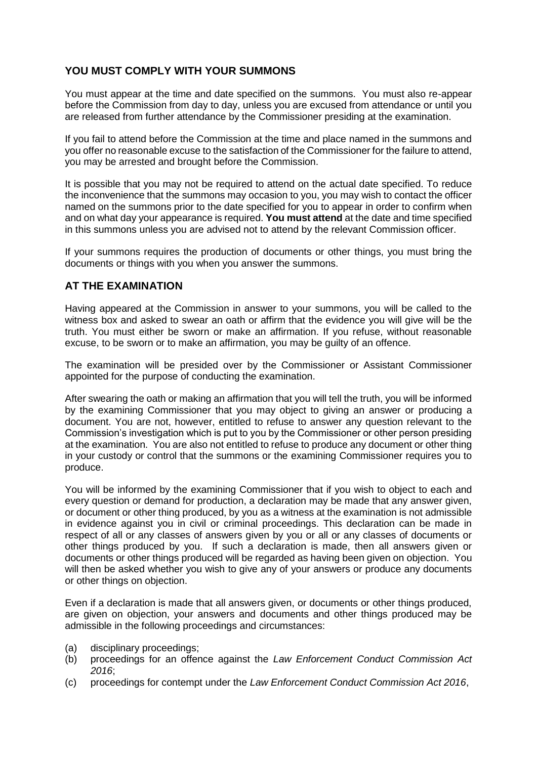# **YOU MUST COMPLY WITH YOUR SUMMONS**

You must appear at the time and date specified on the summons. You must also re-appear before the Commission from day to day, unless you are excused from attendance or until you are released from further attendance by the Commissioner presiding at the examination.

If you fail to attend before the Commission at the time and place named in the summons and you offer no reasonable excuse to the satisfaction of the Commissioner for the failure to attend, you may be arrested and brought before the Commission.

It is possible that you may not be required to attend on the actual date specified. To reduce the inconvenience that the summons may occasion to you, you may wish to contact the officer named on the summons prior to the date specified for you to appear in order to confirm when and on what day your appearance is required. **You must attend** at the date and time specified in this summons unless you are advised not to attend by the relevant Commission officer.

If your summons requires the production of documents or other things, you must bring the documents or things with you when you answer the summons.

# **AT THE EXAMINATION**

Having appeared at the Commission in answer to your summons, you will be called to the witness box and asked to swear an oath or affirm that the evidence you will give will be the truth. You must either be sworn or make an affirmation. If you refuse, without reasonable excuse, to be sworn or to make an affirmation, you may be guilty of an offence.

The examination will be presided over by the Commissioner or Assistant Commissioner appointed for the purpose of conducting the examination.

After swearing the oath or making an affirmation that you will tell the truth, you will be informed by the examining Commissioner that you may object to giving an answer or producing a document. You are not, however, entitled to refuse to answer any question relevant to the Commission's investigation which is put to you by the Commissioner or other person presiding at the examination. You are also not entitled to refuse to produce any document or other thing in your custody or control that the summons or the examining Commissioner requires you to produce.

You will be informed by the examining Commissioner that if you wish to object to each and every question or demand for production, a declaration may be made that any answer given, or document or other thing produced, by you as a witness at the examination is not admissible in evidence against you in civil or criminal proceedings. This declaration can be made in respect of all or any classes of answers given by you or all or any classes of documents or other things produced by you. If such a declaration is made, then all answers given or documents or other things produced will be regarded as having been given on objection. You will then be asked whether you wish to give any of your answers or produce any documents or other things on objection.

Even if a declaration is made that all answers given, or documents or other things produced, are given on objection, your answers and documents and other things produced may be admissible in the following proceedings and circumstances:

- (a) disciplinary proceedings;
- (b) proceedings for an offence against the *Law Enforcement Conduct Commission Act 2016*;
- (c) proceedings for contempt under the *Law Enforcement Conduct Commission Act 2016*,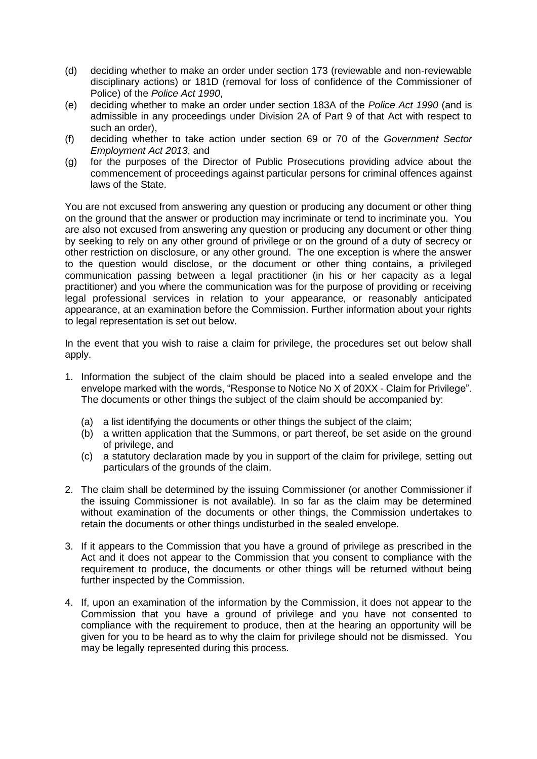- (d) deciding whether to make an order under section 173 (reviewable and non-reviewable disciplinary actions) or 181D (removal for loss of confidence of the Commissioner of Police) of the *Police Act 1990*,
- (e) deciding whether to make an order under section 183A of the *Police Act 1990* (and is admissible in any proceedings under Division 2A of Part 9 of that Act with respect to such an order),
- (f) deciding whether to take action under section 69 or 70 of the *Government Sector Employment Act 2013*, and
- (g) for the purposes of the Director of Public Prosecutions providing advice about the commencement of proceedings against particular persons for criminal offences against laws of the State.

You are not excused from answering any question or producing any document or other thing on the ground that the answer or production may incriminate or tend to incriminate you. You are also not excused from answering any question or producing any document or other thing by seeking to rely on any other ground of privilege or on the ground of a duty of secrecy or other restriction on disclosure, or any other ground. The one exception is where the answer to the question would disclose, or the document or other thing contains, a privileged communication passing between a legal practitioner (in his or her capacity as a legal practitioner) and you where the communication was for the purpose of providing or receiving legal professional services in relation to your appearance, or reasonably anticipated appearance, at an examination before the Commission. Further information about your rights to legal representation is set out below.

In the event that you wish to raise a claim for privilege, the procedures set out below shall apply.

- 1. Information the subject of the claim should be placed into a sealed envelope and the envelope marked with the words, "Response to Notice No X of 20XX - Claim for Privilege". The documents or other things the subject of the claim should be accompanied by:
	- (a) a list identifying the documents or other things the subject of the claim;
	- (b) a written application that the Summons, or part thereof, be set aside on the ground of privilege, and
	- (c) a statutory declaration made by you in support of the claim for privilege, setting out particulars of the grounds of the claim.
- 2. The claim shall be determined by the issuing Commissioner (or another Commissioner if the issuing Commissioner is not available). In so far as the claim may be determined without examination of the documents or other things, the Commission undertakes to retain the documents or other things undisturbed in the sealed envelope.
- 3. If it appears to the Commission that you have a ground of privilege as prescribed in the Act and it does not appear to the Commission that you consent to compliance with the requirement to produce, the documents or other things will be returned without being further inspected by the Commission.
- 4. If, upon an examination of the information by the Commission, it does not appear to the Commission that you have a ground of privilege and you have not consented to compliance with the requirement to produce, then at the hearing an opportunity will be given for you to be heard as to why the claim for privilege should not be dismissed. You may be legally represented during this process.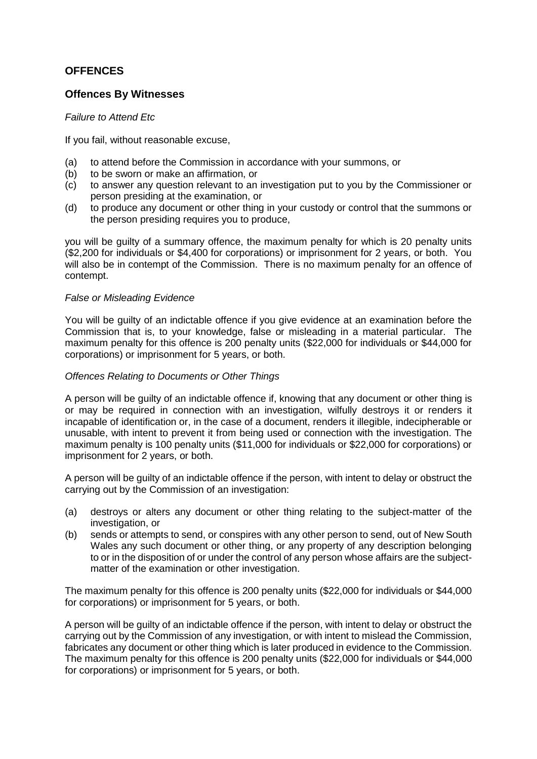# **OFFENCES**

### **Offences By Witnesses**

### *Failure to Attend Etc*

If you fail, without reasonable excuse,

- (a) to attend before the Commission in accordance with your summons, or
- (b) to be sworn or make an affirmation, or
- (c) to answer any question relevant to an investigation put to you by the Commissioner or person presiding at the examination, or
- (d) to produce any document or other thing in your custody or control that the summons or the person presiding requires you to produce,

you will be guilty of a summary offence, the maximum penalty for which is 20 penalty units (\$2,200 for individuals or \$4,400 for corporations) or imprisonment for 2 years, or both. You will also be in contempt of the Commission. There is no maximum penalty for an offence of contempt.

#### *False or Misleading Evidence*

You will be guilty of an indictable offence if you give evidence at an examination before the Commission that is, to your knowledge, false or misleading in a material particular. The maximum penalty for this offence is 200 penalty units (\$22,000 for individuals or \$44,000 for corporations) or imprisonment for 5 years, or both.

#### *Offences Relating to Documents or Other Things*

A person will be guilty of an indictable offence if, knowing that any document or other thing is or may be required in connection with an investigation, wilfully destroys it or renders it incapable of identification or, in the case of a document, renders it illegible, indecipherable or unusable, with intent to prevent it from being used or connection with the investigation. The maximum penalty is 100 penalty units (\$11,000 for individuals or \$22,000 for corporations) or imprisonment for 2 years, or both.

A person will be guilty of an indictable offence if the person, with intent to delay or obstruct the carrying out by the Commission of an investigation:

- (a) destroys or alters any document or other thing relating to the subject-matter of the investigation, or
- (b) sends or attempts to send, or conspires with any other person to send, out of New South Wales any such document or other thing, or any property of any description belonging to or in the disposition of or under the control of any person whose affairs are the subjectmatter of the examination or other investigation.

The maximum penalty for this offence is 200 penalty units (\$22,000 for individuals or \$44,000 for corporations) or imprisonment for 5 years, or both.

A person will be guilty of an indictable offence if the person, with intent to delay or obstruct the carrying out by the Commission of any investigation, or with intent to mislead the Commission, fabricates any document or other thing which is later produced in evidence to the Commission. The maximum penalty for this offence is 200 penalty units (\$22,000 for individuals or \$44,000 for corporations) or imprisonment for 5 years, or both.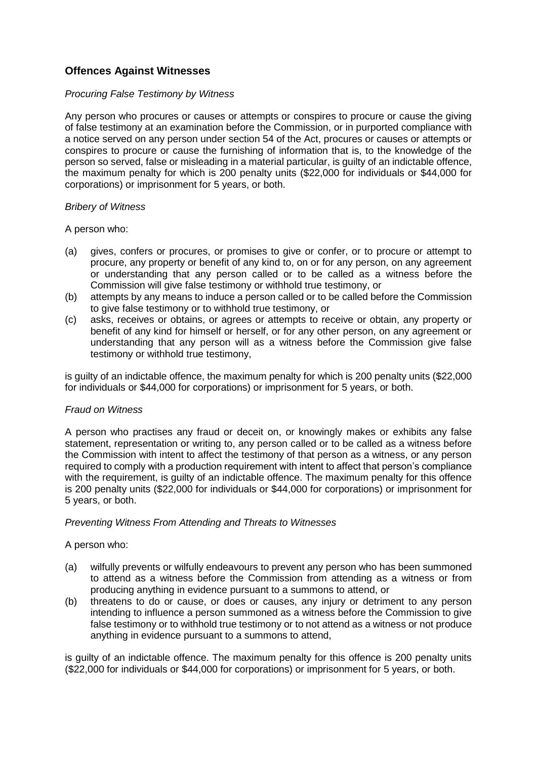# **Offences Against Witnesses**

#### *Procuring False Testimony by Witness*

Any person who procures or causes or attempts or conspires to procure or cause the giving of false testimony at an examination before the Commission, or in purported compliance with a notice served on any person under section 54 of the Act, procures or causes or attempts or conspires to procure or cause the furnishing of information that is, to the knowledge of the person so served, false or misleading in a material particular, is guilty of an indictable offence, the maximum penalty for which is 200 penalty units (\$22,000 for individuals or \$44,000 for corporations) or imprisonment for 5 years, or both.

#### *Bribery of Witness*

A person who:

- (a) gives, confers or procures, or promises to give or confer, or to procure or attempt to procure, any property or benefit of any kind to, on or for any person, on any agreement or understanding that any person called or to be called as a witness before the Commission will give false testimony or withhold true testimony, or
- (b) attempts by any means to induce a person called or to be called before the Commission to give false testimony or to withhold true testimony, or
- (c) asks, receives or obtains, or agrees or attempts to receive or obtain, any property or benefit of any kind for himself or herself, or for any other person, on any agreement or understanding that any person will as a witness before the Commission give false testimony or withhold true testimony,

is guilty of an indictable offence, the maximum penalty for which is 200 penalty units (\$22,000 for individuals or \$44,000 for corporations) or imprisonment for 5 years, or both.

### *Fraud on Witness*

A person who practises any fraud or deceit on, or knowingly makes or exhibits any false statement, representation or writing to, any person called or to be called as a witness before the Commission with intent to affect the testimony of that person as a witness, or any person required to comply with a production requirement with intent to affect that person's compliance with the requirement, is guilty of an indictable offence. The maximum penalty for this offence is 200 penalty units (\$22,000 for individuals or \$44,000 for corporations) or imprisonment for 5 years, or both.

#### *Preventing Witness From Attending and Threats to Witnesses*

### A person who:

- (a) wilfully prevents or wilfully endeavours to prevent any person who has been summoned to attend as a witness before the Commission from attending as a witness or from producing anything in evidence pursuant to a summons to attend, or
- (b) threatens to do or cause, or does or causes, any injury or detriment to any person intending to influence a person summoned as a witness before the Commission to give false testimony or to withhold true testimony or to not attend as a witness or not produce anything in evidence pursuant to a summons to attend,

is guilty of an indictable offence. The maximum penalty for this offence is 200 penalty units (\$22,000 for individuals or \$44,000 for corporations) or imprisonment for 5 years, or both.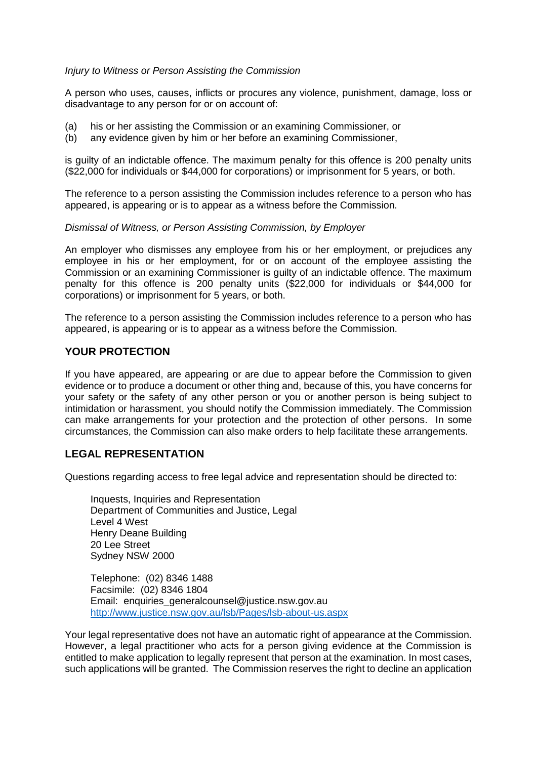#### *Injury to Witness or Person Assisting the Commission*

A person who uses, causes, inflicts or procures any violence, punishment, damage, loss or disadvantage to any person for or on account of:

- (a) his or her assisting the Commission or an examining Commissioner, or
- (b) any evidence given by him or her before an examining Commissioner,

is guilty of an indictable offence. The maximum penalty for this offence is 200 penalty units (\$22,000 for individuals or \$44,000 for corporations) or imprisonment for 5 years, or both.

The reference to a person assisting the Commission includes reference to a person who has appeared, is appearing or is to appear as a witness before the Commission.

#### *Dismissal of Witness, or Person Assisting Commission, by Employer*

An employer who dismisses any employee from his or her employment, or prejudices any employee in his or her employment, for or on account of the employee assisting the Commission or an examining Commissioner is guilty of an indictable offence. The maximum penalty for this offence is 200 penalty units (\$22,000 for individuals or \$44,000 for corporations) or imprisonment for 5 years, or both.

The reference to a person assisting the Commission includes reference to a person who has appeared, is appearing or is to appear as a witness before the Commission.

### **YOUR PROTECTION**

If you have appeared, are appearing or are due to appear before the Commission to given evidence or to produce a document or other thing and, because of this, you have concerns for your safety or the safety of any other person or you or another person is being subject to intimidation or harassment, you should notify the Commission immediately. The Commission can make arrangements for your protection and the protection of other persons. In some circumstances, the Commission can also make orders to help facilitate these arrangements.

### **LEGAL REPRESENTATION**

Questions regarding access to free legal advice and representation should be directed to:

Inquests, Inquiries and Representation Department of Communities and Justice, Legal Level 4 West Henry Deane Building 20 Lee Street Sydney NSW 2000

Telephone: (02) 8346 1488 Facsimile: (02) 8346 1804 Email: enquiries\_generalcounsel@justice.nsw.gov.au http://www.justice.nsw.gov.au/lsb/Pages/lsb-about-us.aspx

Your legal representative does not have an automatic right of appearance at the Commission. However, a legal practitioner who acts for a person giving evidence at the Commission is entitled to make application to legally represent that person at the examination. In most cases, such applications will be granted. The Commission reserves the right to decline an application